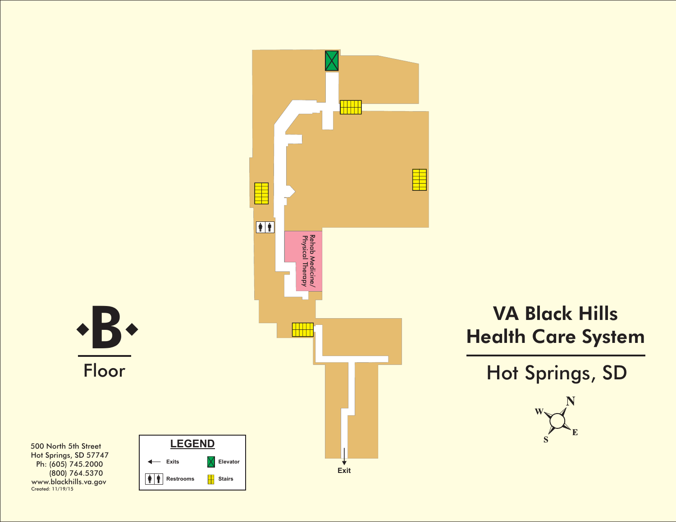

## VA Black Hills<br>Ealth Care Syster<br>Hot Springs, SD Health Care System

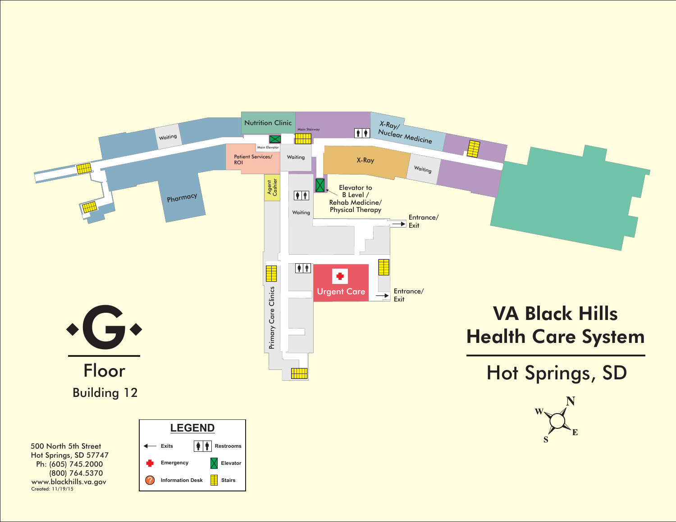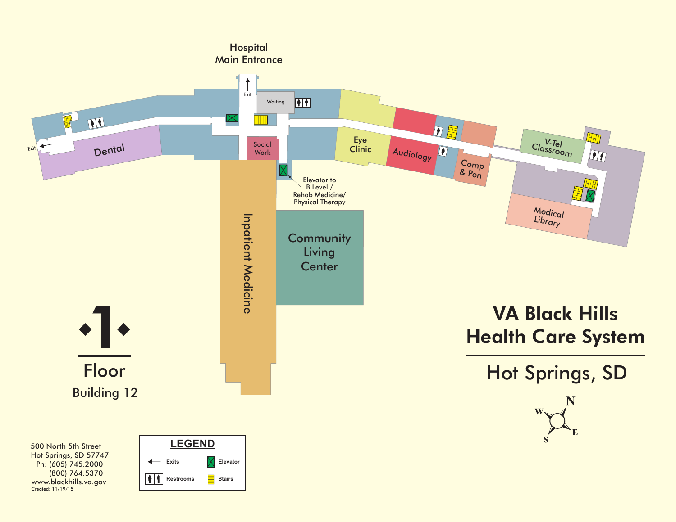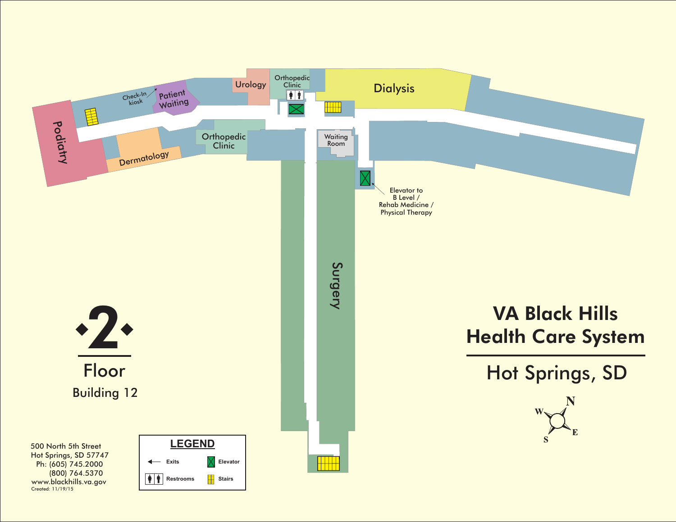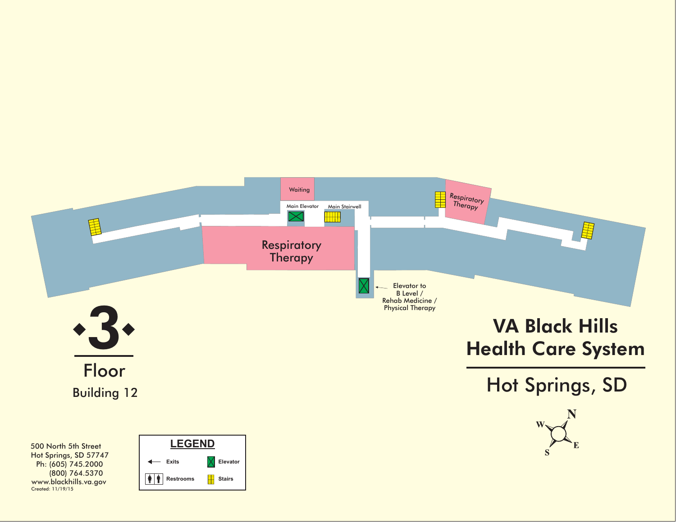